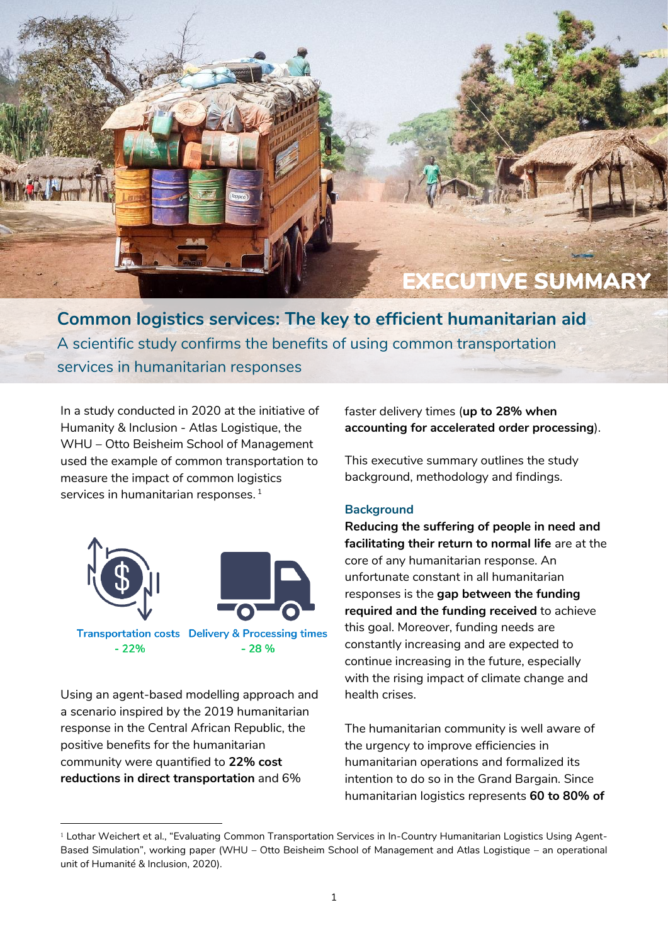# EXECUTIVE SUMMARY

**Common logistics services: The key to efficient humanitarian aid** A scientific study confirms the benefits of using common transportation services in humanitarian responses

In a study conducted in 2020 at the initiative of Humanity & Inclusion - Atlas Logistique, the WHU – Otto Beisheim School of Management used the example of common transportation to measure the impact of common logistics services in humanitarian responses. 1



Using an agent-based modelling approach and a scenario inspired by the 2019 humanitarian response in the Central African Republic, the positive benefits for the humanitarian community were quantified to **22% cost reductions in direct transportation** and 6%

-

faster delivery times (**up to 28% when accounting for accelerated order processing**).

This executive summary outlines the study background, methodology and findings.

### **Background**

**Reducing the suffering of people in need and facilitating their return to normal life** are at the core of any humanitarian response. An unfortunate constant in all humanitarian responses is the **gap between the funding required and the funding received** to achieve this goal. Moreover, funding needs are constantly increasing and are expected to continue increasing in the future, especially with the rising impact of climate change and health crises.

The humanitarian community is well aware of the urgency to improve efficiencies in humanitarian operations and formalized its intention to do so in the Grand Bargain. Since humanitarian logistics represents **60 to 80% of** 

<sup>1</sup> Lothar Weichert et al., "Evaluating Common Transportation Services in In-Country Humanitarian Logistics Using Agent-Based Simulation", working paper (WHU – Otto Beisheim School of Management and Atlas Logistique – an operational unit of Humanité & Inclusion, 2020).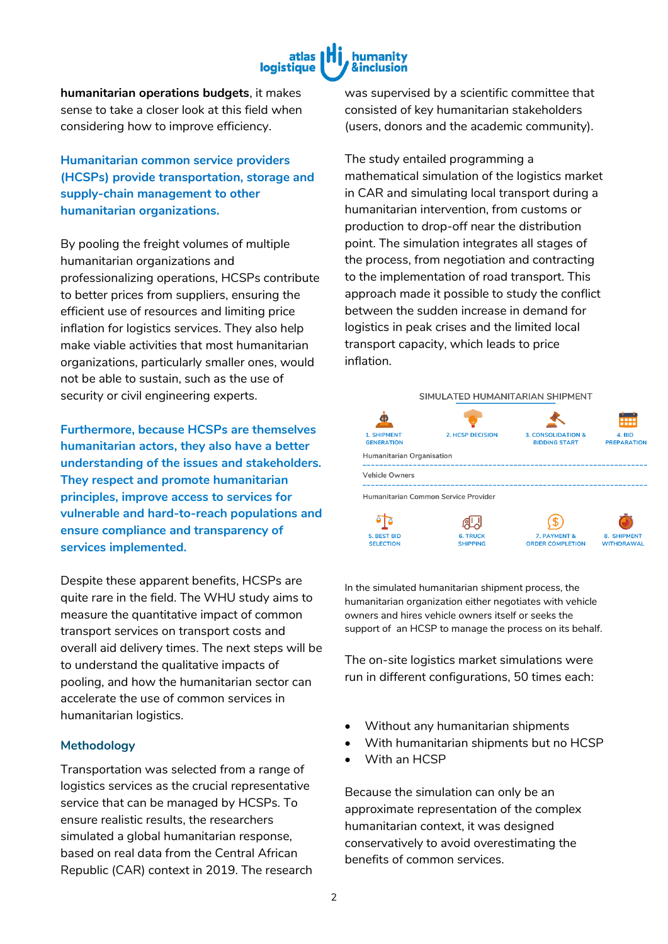

**humanitarian operations budgets**, it makes sense to take a closer look at this field when considering how to improve efficiency.

**Humanitarian common service providers (HCSPs) provide transportation, storage and supply-chain management to other humanitarian organizations.**

By pooling the freight volumes of multiple humanitarian organizations and professionalizing operations, HCSPs contribute to better prices from suppliers, ensuring the efficient use of resources and limiting price inflation for logistics services. They also help make viable activities that most humanitarian organizations, particularly smaller ones, would not be able to sustain, such as the use of security or civil engineering experts.

**Furthermore, because HCSPs are themselves humanitarian actors, they also have a better understanding of the issues and stakeholders. They respect and promote humanitarian principles, improve access to services for vulnerable and hard-to-reach populations and ensure compliance and transparency of services implemented.**

Despite these apparent benefits, HCSPs are quite rare in the field. The WHU study aims to measure the quantitative impact of common transport services on transport costs and overall aid delivery times. The next steps will be to understand the qualitative impacts of pooling, and how the humanitarian sector can accelerate the use of common services in humanitarian logistics.

#### **Methodology**

Transportation was selected from a range of logistics services as the crucial representative service that can be managed by HCSPs. To ensure realistic results, the researchers simulated a global humanitarian response, based on real data from the Central African Republic (CAR) context in 2019. The research

was supervised by a scientific committee that consisted of key humanitarian stakeholders (users, donors and the academic community).

The study entailed programming a mathematical simulation of the logistics market in CAR and simulating local transport during a humanitarian intervention, from customs or production to drop-off near the distribution point. The simulation integrates all stages of the process, from negotiation and contracting to the implementation of road transport. This approach made it possible to study the conflict between the sudden increase in demand for logistics in peak crises and the limited local transport capacity, which leads to price inflation.



In the simulated humanitarian shipment process, the humanitarian organization either negotiates with vehicle owners and hires vehicle owners itself or seeks the support of an HCSP to manage the process on its behalf.

The on-site logistics market simulations were run in different configurations, 50 times each:

- Without any humanitarian shipments
- With humanitarian shipments but no HCSP
- With an HCSP

Because the simulation can only be an approximate representation of the complex humanitarian context, it was designed conservatively to avoid overestimating the benefits of common services.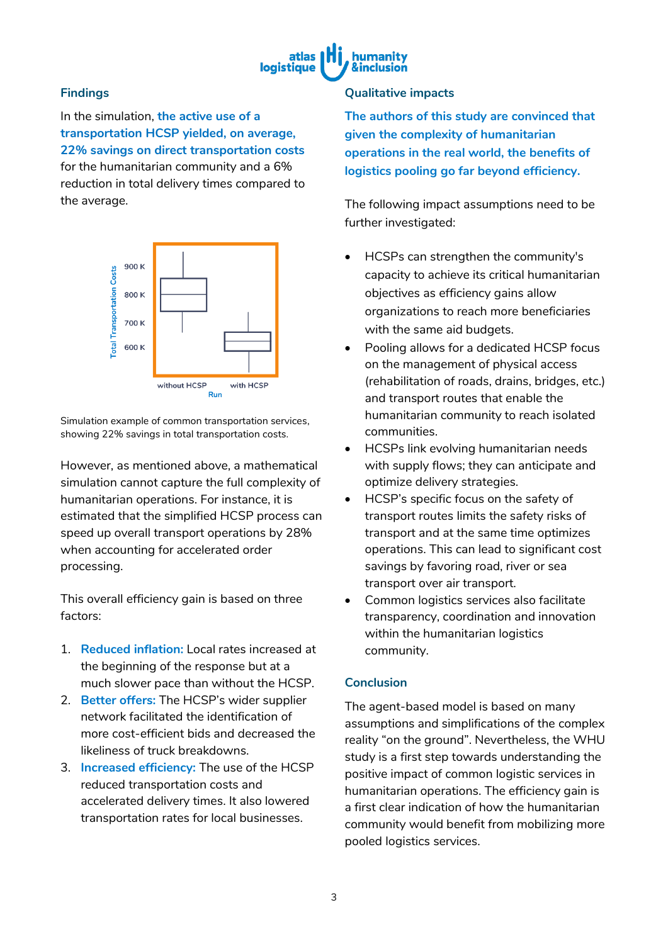

# **Findings**

In the simulation, **the active use of a transportation HCSP yielded, on average, 22% savings on direct transportation costs** for the humanitarian community and a 6% reduction in total delivery times compared to the average.



Simulation example of common transportation services, showing 22% savings in total transportation costs.

However, as mentioned above, a mathematical simulation cannot capture the full complexity of humanitarian operations. For instance, it is estimated that the simplified HCSP process can speed up overall transport operations by 28% when accounting for accelerated order processing.

This overall efficiency gain is based on three factors:

- 1. **Reduced inflation:** Local rates increased at the beginning of the response but at a much slower pace than without the HCSP.
- 2. **Better offers:** The HCSP's wider supplier network facilitated the identification of more cost-efficient bids and decreased the likeliness of truck breakdowns.
- 3. **Increased efficiency:** The use of the HCSP reduced transportation costs and accelerated delivery times. It also lowered transportation rates for local businesses.

## **Qualitative impacts**

**The authors of this study are convinced that given the complexity of humanitarian operations in the real world, the benefits of logistics pooling go far beyond efficiency.** 

The following impact assumptions need to be further investigated:

- HCSPs can strengthen the community's capacity to achieve its critical humanitarian objectives as efficiency gains allow organizations to reach more beneficiaries with the same aid budgets.
- Pooling allows for a dedicated HCSP focus on the management of physical access (rehabilitation of roads, drains, bridges, etc.) and transport routes that enable the humanitarian community to reach isolated communities.
- HCSPs link evolving humanitarian needs with supply flows; they can anticipate and optimize delivery strategies.
- HCSP's specific focus on the safety of transport routes limits the safety risks of transport and at the same time optimizes operations. This can lead to significant cost savings by favoring road, river or sea transport over air transport.
- Common logistics services also facilitate transparency, coordination and innovation within the humanitarian logistics community.

## **Conclusion**

The agent-based model is based on many assumptions and simplifications of the complex reality "on the ground". Nevertheless, the WHU study is a first step towards understanding the positive impact of common logistic services in humanitarian operations. The efficiency gain is a first clear indication of how the humanitarian community would benefit from mobilizing more pooled logistics services.